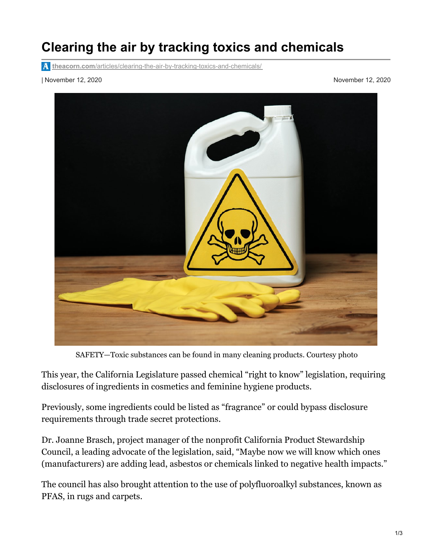## **Clearing the air by tracking toxics and chemicals**

**theacorn.com[/articles/clearing-the-air-by-tracking-toxics-and-chemicals/](https://www.theacorn.com/articles/clearing-the-air-by-tracking-toxics-and-chemicals/)** 

| November 12, 2020 November 12, 2020



SAFETY—Toxic substances can be found in many cleaning products. Courtesy photo

This year, the California Legislature passed chemical "right to know" legislation, requiring disclosures of ingredients in cosmetics and feminine hygiene products.

Previously, some ingredients could be listed as "fragrance" or could bypass disclosure requirements through trade secret protections.

Dr. Joanne Brasch, project manager of the nonprofit California Product Stewardship Council, a leading advocate of the legislation, said, "Maybe now we will know which ones (manufacturers) are adding lead, asbestos or chemicals linked to negative health impacts."

The council has also brought attention to the use of polyfluoroalkyl substances, known as PFAS, in rugs and carpets.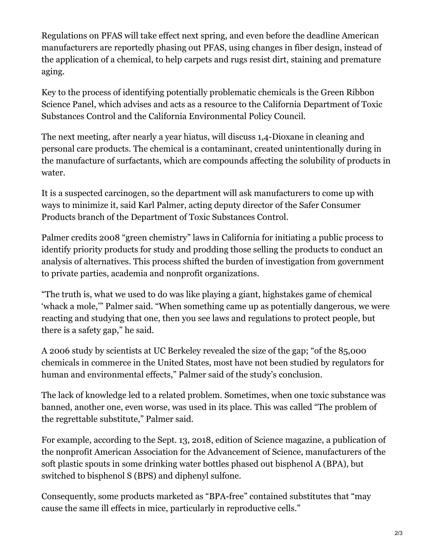Regulations on PFAS will take effect next spring, and even before the deadline American manufacturers are reportedly phasing out PFAS, using changes in fiber design, instead of the application of a chemical, to help carpets and rugs resist dirt, staining and premature aging.

Key to the process of identifying potentially problematic chemicals is the Green Ribbon Science Panel, which advises and acts as a resource to the California Department of Toxic Substances Control and the California Environmental Policy Council.

The next meeting, after nearly a year hiatus, will discuss 1,4-Dioxane in cleaning and personal care products. The chemical is a contaminant, created unintentionally during in the manufacture of surfactants, which are compounds affecting the solubility of products in water.

It is a suspected carcinogen, so the department will ask manufacturers to come up with ways to minimize it, said Karl Palmer, acting deputy director of the Safer Consumer Products branch of the Department of Toxic Substances Control.

Palmer credits 2008 "green chemistry" laws in California for initiating a public process to identify priority products for study and prodding those selling the products to conduct an analysis of alternatives. This process shifted the burden of investigation from government to private parties, academia and nonprofit organizations.

"The truth is, what we used to do was like playing a giant, highstakes game of chemical 'whack a mole,'" Palmer said. "When something came up as potentially dangerous, we were reacting and studying that one, then you see laws and regulations to protect people, but there is a safety gap," he said.

A 2006 study by scientists at UC Berkeley revealed the size of the gap; "of the 85,000 chemicals in commerce in the United States, most have not been studied by regulators for human and environmental effects," Palmer said of the study's conclusion.

The lack of knowledge led to a related problem. Sometimes, when one toxic substance was banned, another one, even worse, was used in its place. This was called "The problem of the regrettable substitute," Palmer said.

For example, according to the Sept. 13, 2018, edition of Science magazine, a publication of the nonprofit American Association for the Advancement of Science, manufacturers of the soft plastic spouts in some drinking water bottles phased out bisphenol A (BPA), but switched to bisphenol S (BPS) and diphenyl sulfone.

Consequently, some products marketed as "BPA-free" contained substitutes that "may cause the same ill effects in mice, particularly in reproductive cells."